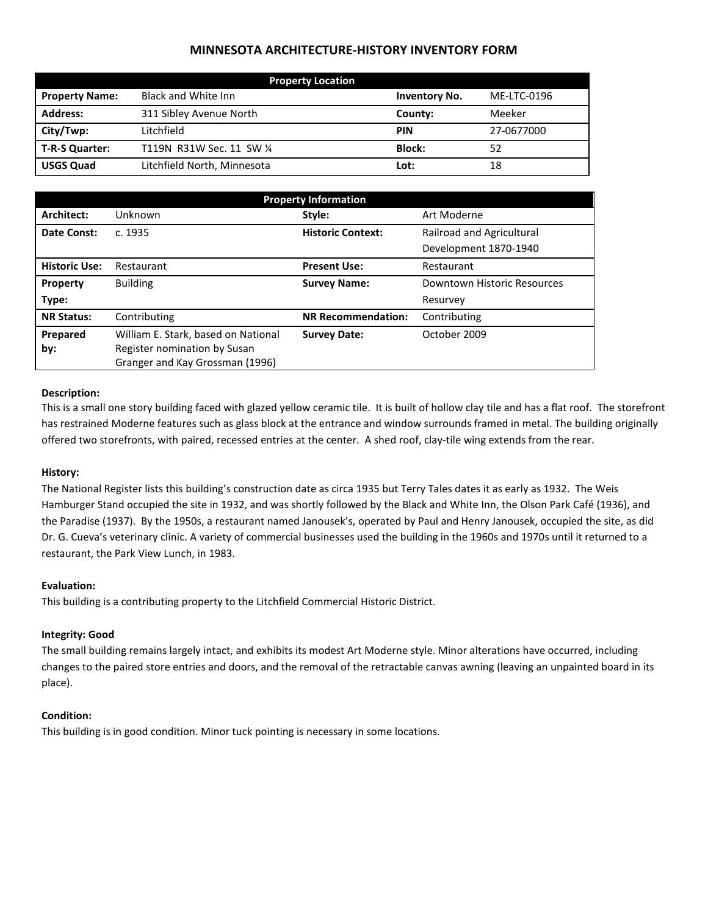## **MINNESOTA ARCHITECTURE-HISTORY INVENTORY FORM**

| <b>Property Location</b> |                             |                      |             |  |
|--------------------------|-----------------------------|----------------------|-------------|--|
| <b>Property Name:</b>    | Black and White Inn         | <b>Inventory No.</b> | ME-LTC-0196 |  |
| <b>Address:</b>          | 311 Sibley Avenue North     | County:              | Meeker      |  |
| City/Twp:                | Litchfield                  | <b>PIN</b>           | 27-0677000  |  |
| T-R-S Quarter:           | T119N R31W Sec. 11 SW 1/4   | <b>Block:</b>        | 52          |  |
| <b>USGS Quad</b>         | Litchfield North, Minnesota | Lot:                 | 18          |  |

| <b>Property Information</b> |                                                                 |                           |                             |  |
|-----------------------------|-----------------------------------------------------------------|---------------------------|-----------------------------|--|
| Architect:                  | Unknown                                                         | Style:                    | Art Moderne                 |  |
| Date Const:                 | c. 1935                                                         | <b>Historic Context:</b>  | Railroad and Agricultural   |  |
|                             |                                                                 |                           | Development 1870-1940       |  |
| <b>Historic Use:</b>        | Restaurant                                                      | <b>Present Use:</b>       | Restaurant                  |  |
| Property                    | <b>Building</b>                                                 | <b>Survey Name:</b>       | Downtown Historic Resources |  |
| Type:                       |                                                                 |                           | Resurvey                    |  |
| <b>NR Status:</b>           | Contributing                                                    | <b>NR Recommendation:</b> | Contributing                |  |
| Prepared                    | William E. Stark, based on National                             | <b>Survey Date:</b>       | October 2009                |  |
| by:                         | Register nomination by Susan<br>Granger and Kay Grossman (1996) |                           |                             |  |
|                             |                                                                 |                           |                             |  |

### **Description:**

This is a small one story building faced with glazed yellow ceramic tile. It is built of hollow clay tile and has a flat roof. The storefront has restrained Moderne features such as glass block at the entrance and window surrounds framed in metal. The building originally offered two storefronts, with paired, recessed entries at the center. A shed roof, clay-tile wing extends from the rear.

## **History:**

The National Register lists this building's construction date as circa 1935 but Terry Tales dates it as early as 1932. The Weis Hamburger Stand occupied the site in 1932, and was shortly followed by the Black and White Inn, the Olson Park Café (1936), and the Paradise (1937). By the 1950s, a restaurant named Janousek's, operated by Paul and Henry Janousek, occupied the site, as did Dr. G. Cueva's veterinary clinic. A variety of commercial businesses used the building in the 1960s and 1970s until it returned to a restaurant, the Park View Lunch, in 1983.

#### **Evaluation:**

This building is a contributing property to the Litchfield Commercial Historic District.

#### **Integrity: Good**

The small building remains largely intact, and exhibits its modest Art Moderne style. Minor alterations have occurred, including changes to the paired store entries and doors, and the removal of the retractable canvas awning (leaving an unpainted board in its place).

#### **Condition:**

This building is in good condition. Minor tuck pointing is necessary in some locations.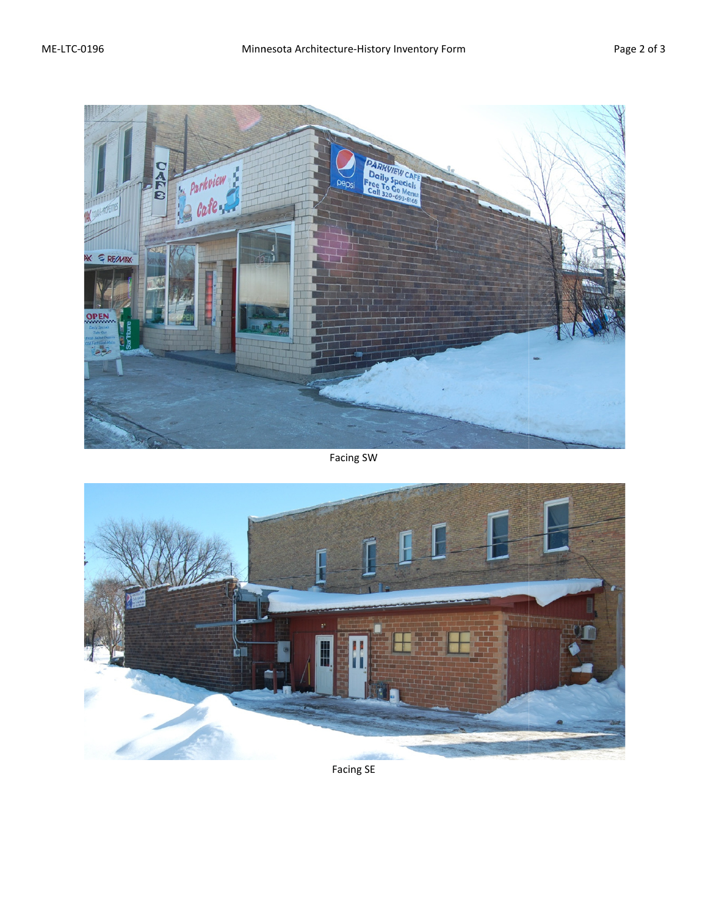

# Facing SW



Facing SE